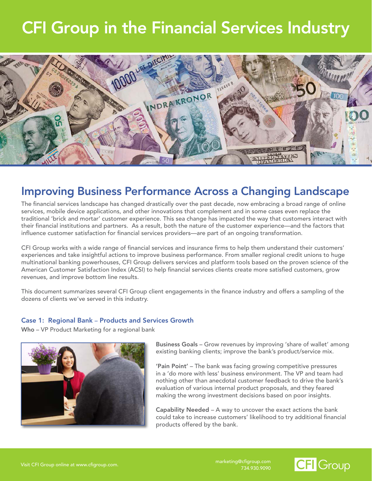## CFI Group in the Financial Services Industry



### Improving Business Performance Across a Changing Landscape

The financial services landscape has changed drastically over the past decade, now embracing a broad range of online services, mobile device applications, and other innovations that complement and in some cases even replace the traditional 'brick and mortar' customer experience. This sea change has impacted the way that customers interact with their financial institutions and partners. As a result, both the nature of the customer experience—and the factors that influence customer satisfaction for financial services providers—are part of an ongoing transformation.

CFI Group works with a wide range of financial services and insurance firms to help them understand their customers' experiences and take insightful actions to improve business performance. From smaller regional credit unions to huge multinational banking powerhouses, CFI Group delivers services and platform tools based on the proven science of the American Customer Satisfaction Index (ACSI) to help financial services clients create more satisfied customers, grow revenues, and improve bottom line results.

This document summarizes several CFI Group client engagements in the finance industry and offers a sampling of the dozens of clients we've served in this industry.

#### Case 1: Regional Bank – Products and Services Growth

Who – VP Product Marketing for a regional bank



Business Goals – Grow revenues by improving 'share of wallet' among existing banking clients; improve the bank's product/service mix.

'Pain Point' – The bank was facing growing competitive pressures in a 'do more with less' business environment. The VP and team had nothing other than anecdotal customer feedback to drive the bank's evaluation of various internal product proposals, and they feared making the wrong investment decisions based on poor insights.

Capability Needed – A way to uncover the exact actions the bank could take to increase customers' likelihood to try additional financial products offered by the bank.

734.930.9090

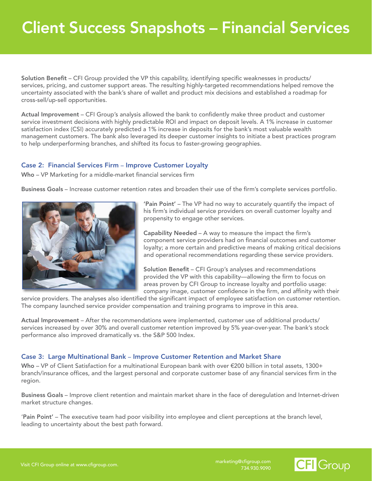Solution Benefit – CFI Group provided the VP this capability, identifying specific weaknesses in products/ services, pricing, and customer support areas. The resulting highly-targeted recommendations helped remove the uncertainty associated with the bank's share of wallet and product mix decisions and established a roadmap for cross-sell/up-sell opportunities.

Actual Improvement – CFI Group's analysis allowed the bank to confidently make three product and customer service investment decisions with highly predictable ROI and impact on deposit levels. A 1% increase in customer satisfaction index (CSI) accurately predicted a 1% increase in deposits for the bank's most valuable wealth management customers. The bank also leveraged its deeper customer insights to initiate a best practices program to help underperforming branches, and shifted its focus to faster-growing geographies.

#### Case 2: Financial Services Firm – Improve Customer Loyalty

Who – VP Marketing for a middle-market financial services firm

Business Goals – Increase customer retention rates and broaden their use of the firm's complete services portfolio.



'Pain Point' – The VP had no way to accurately quantify the impact of his firm's individual service providers on overall customer loyalty and propensity to engage other services.

Capability Needed – A way to measure the impact the firm's component service providers had on financial outcomes and customer loyalty; a more certain and predictive means of making critical decisions and operational recommendations regarding these service providers.

Solution Benefit – CFI Group's analyses and recommendations provided the VP with this capability—allowing the firm to focus on areas proven by CFI Group to increase loyalty and portfolio usage: company image, customer confidence in the firm, and affinity with their

service providers. The analyses also identified the significant impact of employee satisfaction on customer retention. The company launched service provider compensation and training programs to improve in this area.

Actual Improvement – After the recommendations were implemented, customer use of additional products/ services increased by over 30% and overall customer retention improved by 5% year-over-year. The bank's stock performance also improved dramatically vs. the S&P 500 Index.

#### Case 3: Large Multinational Bank – Improve Customer Retention and Market Share

Who – VP of Client Satisfaction for a multinational European bank with over €200 billion in total assets, 1300+ branch/insurance offices, and the largest personal and corporate customer base of any financial services firm in the region.

Business Goals – Improve client retention and maintain market share in the face of deregulation and Internet-driven market structure changes.

'Pain Point' – The executive team had poor visibility into employee and client perceptions at the branch level, leading to uncertainty about the best path forward.

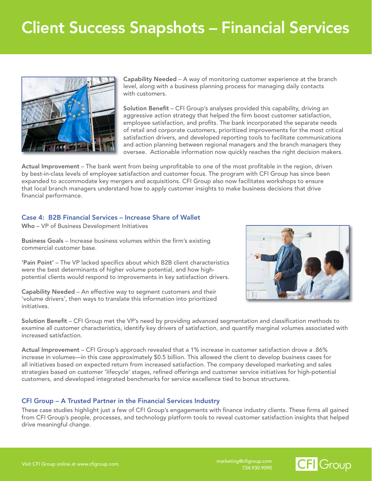# Client Success Snapshots – Financial Services



Capability Needed – A way of monitoring customer experience at the branch level, along with a business planning process for managing daily contacts with customers.

Solution Benefit – CFI Group's analyses provided this capability, driving an aggressive action strategy that helped the firm boost customer satisfaction, employee satisfaction, and profits. The bank incorporated the separate needs of retail and corporate customers, prioritized improvements for the most critical satisfaction drivers, and developed reporting tools to facilitate communications and action planning between regional managers and the branch managers they oversee. Actionable information now quickly reaches the right decision makers.

Actual Improvement – The bank went from being unprofitable to one of the most profitable in the region, driven by best-in-class levels of employee satisfaction and customer focus. The program with CFI Group has since been expanded to accommodate key mergers and acquisitions. CFI Group also now facilitates workshops to ensure that local branch managers understand how to apply customer insights to make business decisions that drive financial performance.

#### Case 4: B2B Financial Services – Increase Share of Wallet

Who – VP of Business Development Initiatives

Business Goals – Increase business volumes within the firm's existing commercial customer base.

'Pain Point' – The VP lacked specifics about which B2B client characteristics were the best determinants of higher volume potential, and how highpotential clients would respond to improvements in key satisfaction drivers.

Capability Needed – An effective way to segment customers and their 'volume drivers', then ways to translate this information into prioritized initiatives.



Solution Benefit – CFI Group met the VP's need by providing advanced segmentation and classification methods to examine all customer characteristics, identify key drivers of satisfaction, and quantify marginal volumes associated with increased satisfaction.

Actual Improvement – CFI Group's approach revealed that a 1% increase in customer satisfaction drove a .86% increase in volumes—in this case approximately \$0.5 billion. This allowed the client to develop business cases for all initiatives based on expected return from increased satisfaction. The company developed marketing and sales strategies based on customer 'lifecycle' stages, refined offerings and customer service initiatives for high-potential customers, and developed integrated benchmarks for service excellence tied to bonus structures.

#### CFI Group – A Trusted Partner in the Financial Services Industry

These case studies highlight just a few of CFI Group's engagements with finance industry clients. These firms all gained from CFI Group's people, processes, and technology platform tools to reveal customer satisfaction insights that helped drive meaningful change.

734.930.9090